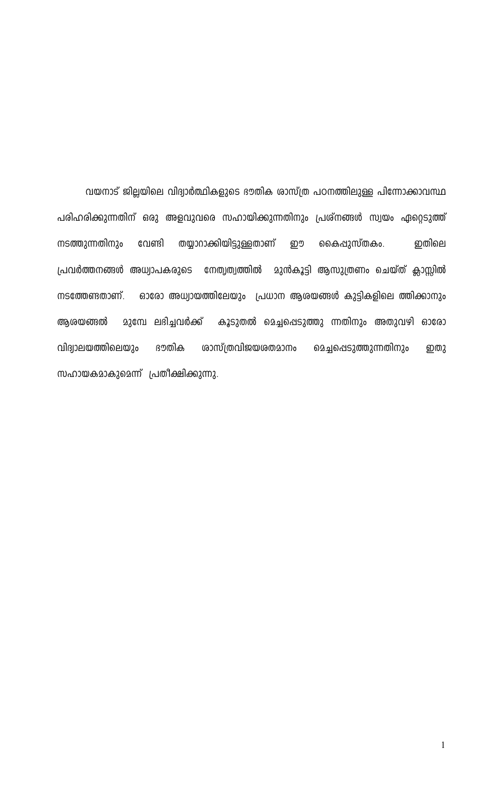വയനാട് ജില്ലയിലെ വിദ്വാർത്ഥികളുടെ ഭൗതിക ശാസ്ത്ര പഠനത്തിലുള്ള പിന്നോക്കാവസ്ഥ പരിഹരിക്കുന്നതിന് ഒരു അളവുവരെ സഹായിക്കുന്നതിനും പ്രശ്നങ്ങൾ സ്വയം ഏറ്റെടുത്ത് തയ്യാറാക്കിയിട്ടുള്ളതാണ് നടത്തുന്നതിനും വേണ്ടി றூ കൈപ്പുസ്തകം. றலிவ പ്രവർത്തനങ്ങൾ അധ്വാപകരുടെ നേതൃത്വത്തിൽ മുൻകൂട്ടി ആസുത്രണം ചെയ്ത് ക്ലാസ്സിൽ ഓരോ അധ്വായത്തിലേയും പ്രധാന ആരയങ്ങൾ കുട്ടികളിലെ ത്തിക്കാനും നടത്തേണ്ടതാണ്. മുമ്പേ ലഭിച്ചവർക്ക് കൂടുതൽ മെച്ചപ്പെടുത്തു ന്നതിനും അതുവഴി ഓരോ ആശയങ്ങൽ വിദ്യാലയത്തിലെയും ഭൗതിക <u>രാസ്ത്രവിജയരതമാനം</u> മെച്ചപ്പെടുത്തുന്നതിനും ഇതു സഹായകമാകുമെന്ന് പ്രതീക്ഷിക്കുന്നു.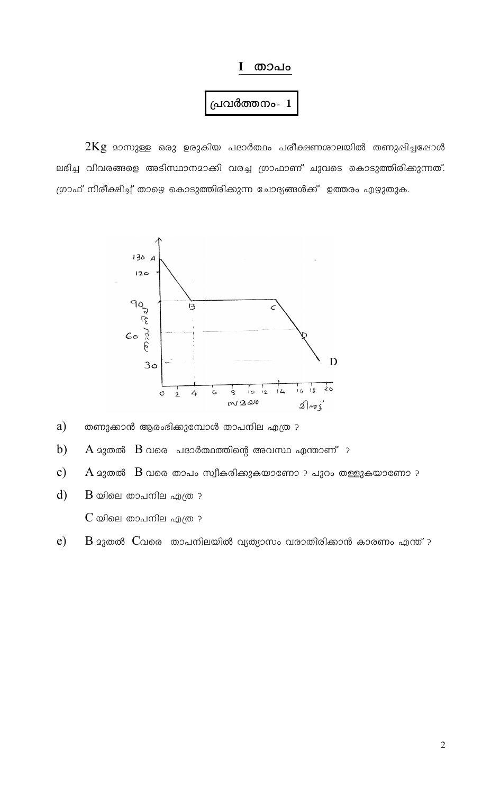#### I താപം

#### പ്രവർത്തനം- $\mathbf 1$

 $2\mathrm{Kg}$  മാസുള്ള ഒരു ഉരുകിയ പദാർത്ഥം പരീക്ഷണശാലയിൽ തണുഷിച്ചപ്പോൾ ലഭിച്ച വിവരങ്ങളെ അടിസ്ഥാനമാക്കി വരച്ച ഗ്രാഫാണ് ചുവടെ കൊടുത്തിരിക്കുന്നത്. ഗ്രാഫ് നിരീക്ഷിച്ച് താഴെ കൊടുത്തിരിക്കുന്ന ചോദ്യങ്ങൾക്ക് ഉത്തരം എഴുതുക.



- തണുക്കാൻ ആരംഭിക്കുമ്പോൾ താപനില എത്ര ? a)
- $b)$  $\rm A$   $\rm 23$ തൽ  $\rm~B$  വരെ പദാർത്ഥത്തിന്റെ അവസ്ഥ എന്താണ് ?
- $c)$  $\rm A$   $\rm 23$ തൽ  $\rm~B$  വരെ താപം സ്വീകരിക്കുകയാണോ ? പുറം തള്ളുകയാണോ ?
- $\mathbf{d}$  $\rm{B}$  യിലെ താപനില എത്ര ?  $C$  യിലെ താപനില എത്ര $\cdot$
- $e)$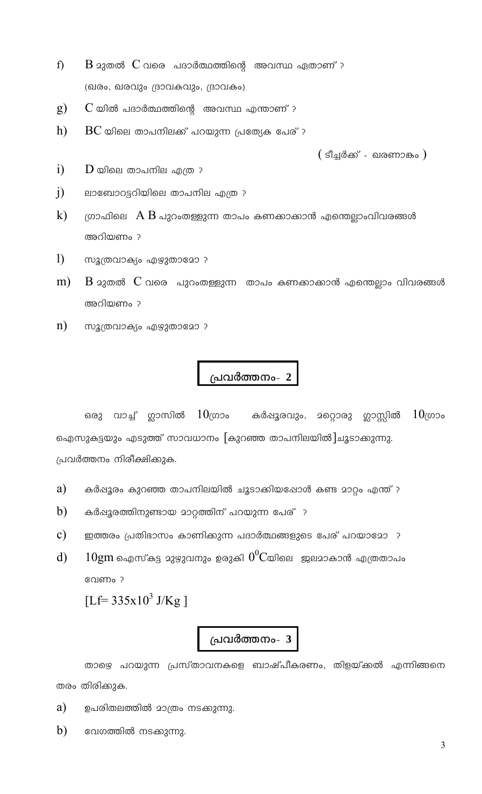- f) (ഖരം, ഖരവും ദ്രാവകവും, ദ്രാവകം)
- $g)$  $\,$  യിൽ പദാർത്ഥത്തിന്റെ അവസ്ഥ എന്താണ് ?
- $h)$  $\overline{\mathrm{BC}}$  യിലെ താപനിലക്ക് പറയുന്ന പ്രത്യേക പേര് ?

 $($  ടീച്ചർക്ക് - ഖരണാങ്കം  $)$ 

- $\ddot{1}$  $\overline{\mathrm{D}}$  യിലെ താപനില എത്ര ?
- $i)$ ലാബോറട്ടറിയിലെ താപനില എത്ര ?
- $\bf k)$ ഗ്രാഫിലെ  $\rm{A} \; \rm{B}$  പുറംതള്ളുന്ന താപം കണക്കാക്കാൻ എന്തെല്ലാംവിവരങ്ങൾ അറിയണം ?
- $\mathbf{D}$ സൂത്രവാക്യം എഴുതാമോ ?
- $m)$ അറിയണം ?
- $\mathbf{n}$ ) സൂത്രവാക്യം എഴുതാമോ ?

## പ്രവർത്തനം- 2

ഒരു വാച്ച് ഗ്ലാസിൽ  $10\scriptstyle\rm ($ ഗാം കർഷൂരവും, മറ്റൊരു ഗ്ലാസ്സിൽ  $10$ (ທວ $\circ$ ഐസുകട്ടയും എടുത്ത് സാവധാനം [കുറഞ്ഞ താപനിലയിൽ]ചൂടാക്കുന്നു. പ്രവർത്തനം നിരീക്ഷിക്കുക.

- a) കർപ്പൂരം കുറഞ്ഞ താപനിലയിൽ ചൂടാക്കിയപ്പോൾ കണ്ട മാറ്റം എന്ത് ?
- b) കർഷൂരത്തിനുണ്ടായ മാറ്റത്തിന് പറയുന്ന പേര് ?
- $\mathbf{c})$ ഇത്തരം പ്രതിഭാസം കാണിക്കുന്ന പദാർത്ഥങ്ങളുടെ പേര് പറയാമോ ?
- $10$ gm ഐസ്കട്ട മുഴുവനും ഉരുകി  $0^0$ Cയിലെ ജലമാകാൻ എത്രതാപം  $\mathbf{d}$ വേണം?

[Lf= $335x10^3$  J/Kg]

## പ്രവർത്തനം- 3

താഴെ പറയുന്ന പ്രസ്താവനകളെ ബാഷ്പീകരണം, തിളയ്ക്കൽ എന്നിങ്ങനെ തരം തിരിക്കുക.

- a) ഉപരിതലത്തിൽ മാത്രം നടക്കുന്നു.
- b) വേഗത്തിൽ നടക്കുന്നു.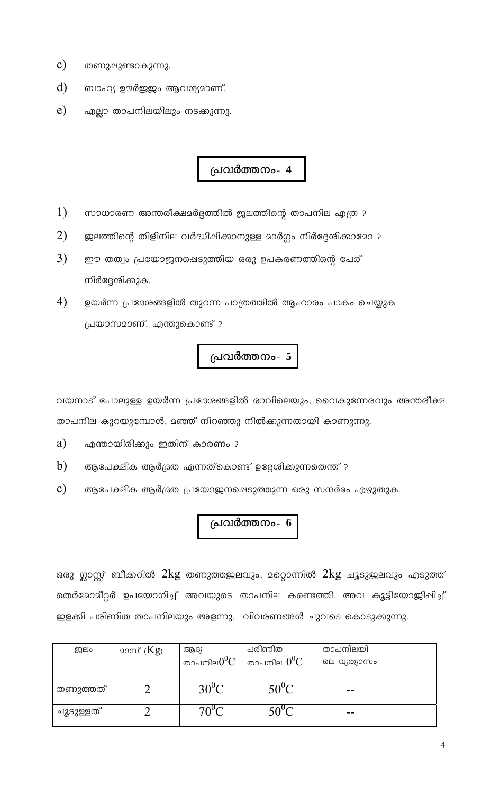- $c)$ തണുഷുണ്ടാകുന്നു.
- d) ബാഹ്യ ഊർജ്ജം ആവശ്യമാണ്.
- e) എല്ലാ താപനിലയിലും നടക്കുന്നു.

- $1)$ സാധാരണ അന്തരീക്ഷമർദ്ദത്തിൽ ജലത്തിന്റെ താപനില എത്ര ?
- $2)$ ജലത്തിന്റെ തിളിനില വർദ്ധിഷിക്കാനുള്ള മാർഗ്ഗം നിർദ്ദേശിക്കാമോ ?
- $3)$ ഈ തത്വം പ്രയോജനഷെടുത്തിയ ഒരു ഉപകരണത്തിന്റെ പേര് നിർദ്ദേശിക്കുക.
- 4) ഉയർന്ന പ്രദേശങ്ങളിൽ തുറന്ന പാത്രത്തിൽ ആഹാരം പാകം ചെയ്യുക പ്രയാസമാണ്. എന്തുകൊണ്ട് ?

# പ്രവർത്തനം- 5

വയനാട് പോലുള്ള ഉയർന്ന പ്രദേശങ്ങളിൽ രാവിലെയും, വൈകുന്നേരവും അന്തരീക്ഷ താപനില കുറയുമ്പോൾ, മഞ്ഞ് നിറഞ്ഞു നിൽക്കുന്നതായി കാണുന്നു.

- a) എന്തായിരിക്കും ഇതിന് കാരണം ?
- b) ആപേക്ഷിക ആർദ്രത എന്നത്കൊണ്ട് ഉദ്ദേശിക്കുന്നതെന്ത് ?
- $\mathbf{c})$ ആപേക്ഷിക ആർദ്രത പ്രയോജനപ്പെടുത്തുന്ന ഒരു സന്ദർഭം എഴുതുക.

# പ്രവർത്തനം-  $6$

ഒരു ഗ്ലാസ്സ് ബീക്കറിൽ  $2\mathrm{kg}$  തണുത്തജലവും, മറ്റൊന്നിൽ  $2\mathrm{kg}$  ചൂടുജലവും എടുത്ത് തെർമോമീറ്റർ ഉപയോഗിച്ച് അവയുടെ താപനില കണ്ടെത്തി. അവ കൂട്ടിയോജിപ്പിച്ച് ഇളക്കി പരിണിത താപനിലയും അളന്നു. വിവരണങ്ങൾ ചുവടെ കൊടുക്കുന്നു.

| ஐப்       | മാസ് ( $Kg$ ) | ആദ്യ<br>താപനില $0^0{\rm C}$ | പരിണിത<br>$^{\shortmid}$ താപനില $0^{0}\mathrm{C}^{-}$ | താപനിലയി<br>ലെ വ്യത്യാസം |  |
|-----------|---------------|-----------------------------|-------------------------------------------------------|--------------------------|--|
| തണുത്തത്  |               | $30^{\circ}$ C              | $50^{\circ}$ C                                        | --                       |  |
| ചൂടുള്ളത് |               | $70^{\circ}$ C              | $50^{\circ}$ C                                        |                          |  |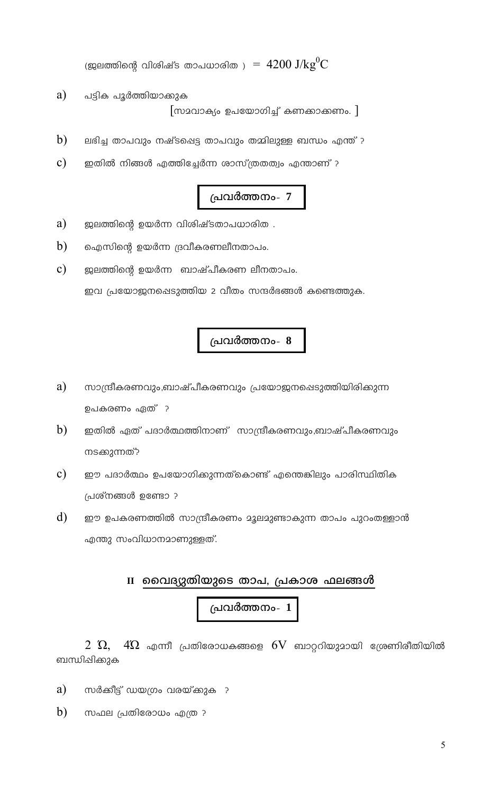(ജലത്തിന്റെ വിശിഷ്ട താപധാരിത )  $\rm 14200\ J/kg^0C$ 

- a) പട്ടിക പൂർത്തിയാക്കുക  $\lceil$ സമവാക്യം ഉപയോഗിച്ച് കണക്കാക്കണം.  $\rceil$
- b) ലഭിച്ച താപവും നഷ്ടപ്പെട്ട താപവും തമ്മിലുള്ള ബന്ധം എന്ത് ?
- $\mathbf{c})$ ഇതിൽ നിങ്ങൾ എത്തിച്ചേർന്ന ശാസ്ത്രതത്വം എന്താണ് ?

### പ്രവർത്തനം- 7

- a) ജലത്തിന്റെ ഉയർന്ന വിശിഷ്ടതാപധാരിത .
- $b)$ ഐസിന്റെ ഉയർന്ന ദ്രവീകരണലീനതാപം.
- $\mathbf{c})$ ജലത്തിന്റെ ഉയർന്ന ബാഷ്പീകരണ ലീനതാപം. ഇവ പ്രയോജനപ്പെടുത്തിയ 2 വീതം സന്ദർഭങ്ങൾ കണ്ടെത്തുക.

#### പ്രവർത്തനം- 8

- a) സാന്ദ്രീകരണവും,ബാഷ്പീകരണവും പ്രയോജനപ്പെടുത്തിയിരിക്കുന്ന ഉപകരണം ഏത് ?
- $b)$ ഇതിൽ ഏത് പദാർത്ഥത്തിനാണ് സാന്ദ്രീകരണവും,ബാഷ്പീകരണവും നടക്കുന്നത്?
- $\mathbf{c})$ ഈ പദാർത്ഥം ഉപയോഗിക്കുന്നത്കൊണ്ട് എന്തെങ്കിലും പാരിസ്ഥിതിക പ്രശ്നങ്ങൾ ഉണ്ടോ ?
- $\mathbf{d}$ ഈ ഉപകരണത്തിൽ സാന്ദ്രീകരണം മൂലമുണ്ടാകുന്ന താപം പുറംതള്ളാൻ എന്തു സംവിധാനമാണുള്ളത്.

#### II വൈദ്യുതിയുടെ താപ, പ്രകാശ ഫലങ്ങൾ

# പ്രവർത്തനം- 1

 $4\Omega$  എന്നീ പ്രതിരോധകങ്ങളെ  $6\mathrm{V}$  ബാറ്ററിയുമായി ശ്രേണിരീതിയിൽ 2 Q, ബന്ധിഷിക്കുക

- a) സർക്കീട്ട് ഡയഗ്രം വരയ്ക്കുക ?
- b) സഫല പ്രതിരോധം എത്ര ?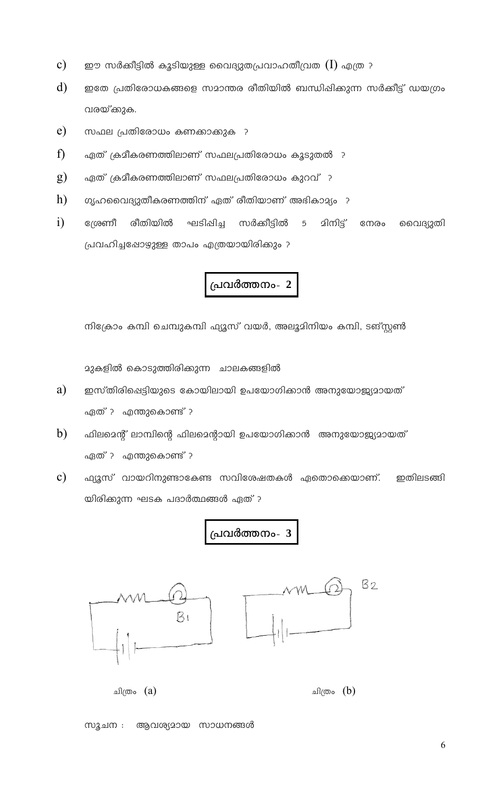- $\mathbf{c})$ ഈ സർക്കീട്ടിൽ കൂടിയുള്ള വൈദ്യുതപ്രവാഹതീവ്രത  $(\mathrm{I})$  എത്ര ?
- $\mathbf{d}$ ഇതേ പ്രതിരോധകങ്ങളെ സമാന്തര രീതിയിൽ ബന്ധിഷിക്കുന്ന സർക്കീട്ട് ഡയഗ്രം വരയ്ക്കുക.
- $e)$ സഫല പ്രതിരോധം കണക്കാക്കുക ?
- $\mathbf{f}$ ഏത് ക്രമീകരണത്തിലാണ് സഫലപ്രതിരോധം കൂടുതൽ ?
- $g)$ ഏത് ക്രമീകരണത്തിലാണ് സഫലപ്രതിരോധം കുറവ് ?
- h) ഗൃഹവൈദ്യുതീകരണത്തിന് ഏത് രീതിയാണ് അഭികാമ്യം ?
- $i)$ ശ്രേണീ രീതിയിൽ ഫട്ടിഷിച്ച സർക്കീട്ടിൽ 5 മിനിട്ട് നേരം വൈദ്യുതി പ്രവഹിച്ചപ്പോഴുള്ള താപം എത്രയായിരിക്കും ?



നിക്രോം കമ്പി ചെമ്പുകമ്പി ഫ്യൂസ് വയർ, അലൂമിനിയം കമ്പി, ടങ്സ്റ്റൺ

മുകളിൽ കൊടുത്തിരിക്കുന്ന ചാലകങ്ങളിൽ

- a) ഇസ്തിരിഷെട്ടിയുടെ കോയിലായി ഉപയോഗിക്കാൻ അനുയോജ്യമായത് ഏത് ? എന്തുകൊണ്ട് ?
- $b)$ ഫിലമെന്റ് ലാമ്പിന്റെ ഫിലമെന്റായി ഉപയോഗിക്കാൻ അനുയോജ്യമായത് ഏത് ? എന്തുകൊണ്ട് ?
- $\mathbf{c})$ ഫ്യൂസ് വായറിനുണ്ടാകേണ്ട സവിശേഷതകൾ ഏതൊക്കെയാണ്. ഇതിലടങ്ങി യിരിക്കുന്ന ഘടക പദാർത്ഥങ്ങൾ ഏത് ?

# പവർത്തനം-  $3$



സുചന : ആവശ്യമായ സാധനങ്ങൾ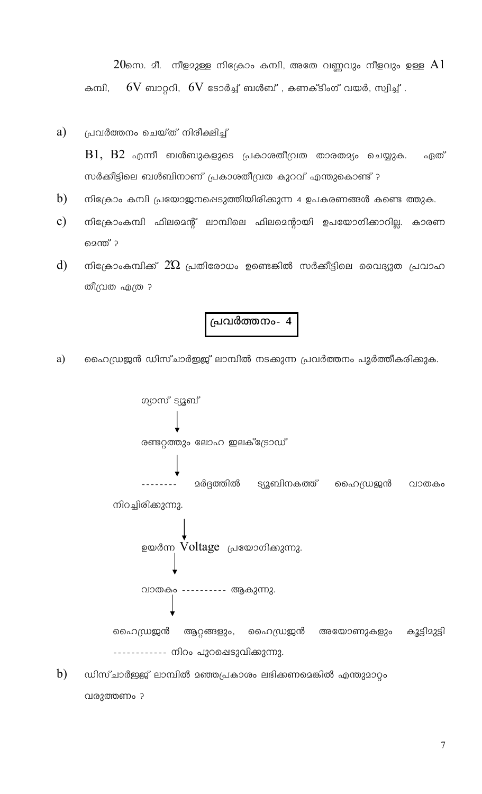$20$ സെ. മീ. നീളമുള്ള നിക്രോം കമ്പി, അതേ വണ്ണവും നീളവും ഉള്ള  ${\rm Al}$  $6\mathrm{V}$  ബാറ്ററി,  $6\mathrm{V}$  ടോർച്ച് ബൾബ് , കണക്ടിംഗ് വയർ, സ്വിച്ച് . കമ്പി,

#### a) പ്രവർത്തനം ചെയ്ത് നിരീക്ഷിച്ച്

 $B1$ ,  $B2$  എന്നീ ബൾബുകളുടെ പ്രകാശതീവ്രത താരതമ്യം ചെയ്യുക. ഏത് സർക്കീട്ടിലെ ബൾബിനാണ് പ്രകാശതീവ്രത കുറവ് എന്തുകൊണ്ട് ?

- b) നിക്രോം കമ്പി പ്രയോജനപ്പെടുത്തിയിരിക്കുന്ന 4 ഉപകരണങ്ങൾ കണ്ടെ ത്തുക.
- $\mathbf{c})$ നിക്രോംകമ്പി ഫിലമെന്റ് ലാമ്പിലെ ഫിലമെന്റായി ഉപയോഗിക്കാറില്ല. കാരണ മെന്ത് ?
- $\rm d)$ നിക്രോംകമ്പിക്ക്  $2\Omega$  പ്രതിരോധം ഉണ്ടെങ്കിൽ സർക്കീട്ടിലെ വൈദ്യുത പ്രവാഹ തീവ്രത എത്ര ?

പ്രവർത്തനം- 4

ഹൈഡ്രജൻ ഡിസ്ചാർഇജ് ലാമ്പിൽ നടക്കുന്ന പ്രവർത്തനം പൂർത്തീകരിക്കുക. a)



 $b)$ ഡിസ്ചാർഇജ് ലാമ്പിൽ മഞ്ഞപ്രകാശം ലഭിക്കണമെങ്കിൽ എന്തുമാറ്റം വരുത്തണം ?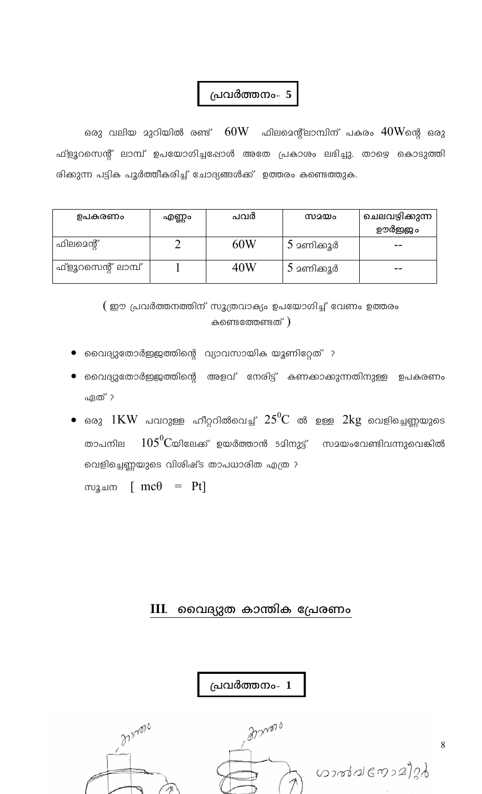ഒരു വലിയ മുറിയിൽ രണ്ട്  $\rm\,60W$  ഫിലമെന്റ്ലാമ്പിന് പകരം  $\rm 40W$ ന്റെ ഒരു ഫ്ളൂറസെന്റ് ലാമ്പ് ഉപയോഗിച്ചപ്പോൾ അതേ പ്രകാശം ലഭിച്ചു. താഴെ കൊടുത്തി രിക്കുന്ന പട്ടിക പൂർത്തീകരിച്ച് ചോദ്യങ്ങൾക്ക് ഉത്തരം കണ്ടെത്തുക.

| ഉപകരണം             | എണ്ണം | പവർ | സമയം       | ചെലവഴിക്കുന്ന |
|--------------------|-------|-----|------------|---------------|
|                    |       |     |            | ഊർജ്ജം        |
| ഫിലമെന്റ്          |       | 60W | 5 മണിക്കൂർ | --            |
| ഫ്ളൂറസെന്റ് ലാമ്പ് |       | 40W | 5 മണിക്കൂർ |               |

 $($  ഈ പ്രവർത്തനത്തിന് സൂത്രവാക്യം ഉപയോഗിച്ച് വേണം ഉത്തരം കണ്ടെത്തേണ്ടത്)

- വൈദ്യുതോർഇജത്തിന്റെ വ്യാവസായിക യൂണിറ്റേത് ?
- വൈദ്യുതോർഇജത്തിന്റെ അളവ് നേരിട്ട് കണക്കാക്കുന്നതിനുള്ള ഉപകരണം ഏത് ?
- ഒരു  $1\mathrm{KW}$  പവറുള്ള ഹീറ്ററിൽവെച്ച്  $25^0\mathrm{C}$  ൽ ഉള്ള  $2\mathrm{kg}$  വെളിച്ചെണ്ണയുടെ  $105^0\mathrm{C}$ യിലേക്ക് ഉയർത്താൻ 5മിനുട്ട് സമയംവേണ്ടിവന്നുവെങ്കിൽ താപനില വെളിച്ചെണ്ണയുടെ വിശിഷ്ട താപധാരിത എത്ര ?

സൂചന [  $mc\theta$  =  $Pt$ ]

#### $III.$  മൈദ്യുത കാന്തിക പ്രേരണം

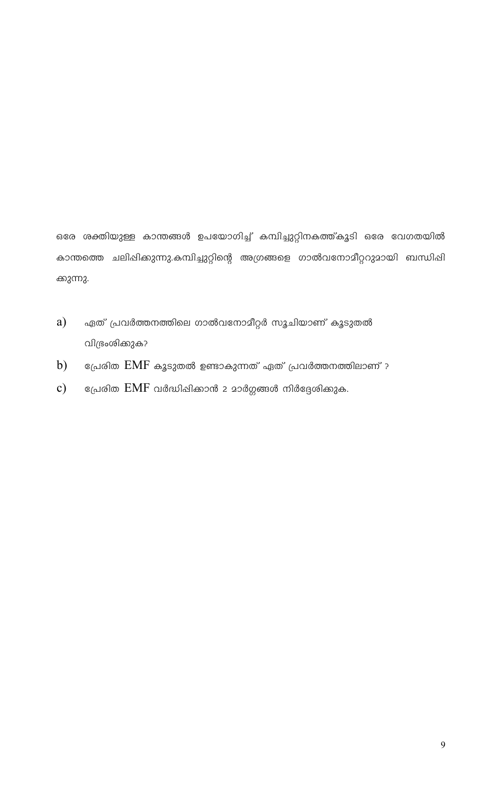ഒരേ ശക്തിയുള്ള കാന്തങ്ങൾ ഉപയോഗിച്ച് കമ്പിച്ചുറ്റിനകത്ത്കൂടി ഒരേ വേഗതയിൽ കാന്തത്തെ ചലിഷിക്കുന്നു.കമ്പിച്ചുറ്റിന്റെ അഗ്രങ്ങളെ ഗാൽവനോമീറ്ററുമായി ബന്ധിഷി ക്കുന്നു.

- ഏത് പ്രവർത്തനത്തിലെ ഗാൽവനോമീറ്റർ സൂചിയാണ് കൂടുതൽ  $a)$ വിഭ്രംശിക്കുക?
- പ്രേരിത  $\emph{EMF}$  കൂടുതൽ ഉണ്ടാകുന്നത് ഏത് പ്രവർത്തനത്തിലാണ് ?  $b)$
- $c)$ പ്രേരിത  $EMF$  വർദ്ധിഷിക്കാൻ 2 മാർഗ്ഗങ്ങൾ നിർദ്ദേശിക്കുക.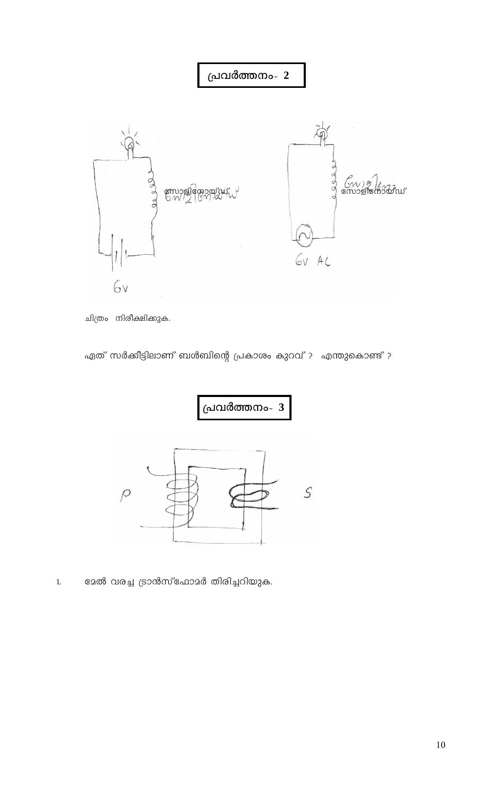

ചിത്രം നിരീക്ഷിക്കുക.

ഏത് സർക്കീട്ടിലാണ് ബൾബിന്റെ പ്രകാശം കുറവ് ? എന്തുകൊണ്ട് ?



ദേൽ വരച്ച ട്രാൻസ്ഫോമർ തിരിച്ചറിയുക.  $1.$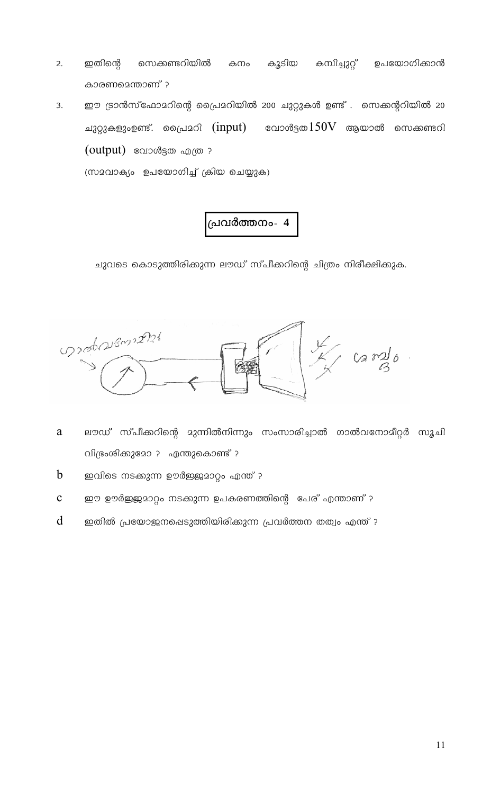- $2.$ ഇതിന്റെ സെക്കണ്ടറിയിൽ കനം കുടിയ കമ്പിച്ചുറ്റ് ഉപയോഗിക്കാൻ കാരണമെന്താണ് ?
- ഈ ട്രാൻസ്ഫോമറിന്റെ പ്രൈമറിയിൽ 200 ചുറ്റുകൾ ഉണ്ട് . സെക്കന്ററിയിൽ 20 3. ചുറ്റുകളുംഉണ്ട്. പ്രൈമറി  $(\text{input})$  വോൾട്ടത $150\mathrm{V}$  ആയാൽ സെക്കണ്ടറി  $(output)$  വോൾട്ടത എത്ര ? (സാവാക്യം ഉപയോഗിച്ച് ക്രിയ ചെയ്യുക)

ചുവടെ കൊടുത്തിരിക്കുന്ന ലൗഡ് സ്പീക്കറിന്റെ ചിത്രം നിരീക്ഷിക്കുക.



- $\mathbf{a}$ ലൗഡ് സ്പീക്കറിന്റെ മുന്നിൽനിന്നും സംസാരിച്ചാൽ ഗാൽവനോമീറ്റർ സൂചി വിഭ്രംശിക്കുമോ ? എന്തുകൊണ്ട് ?
- $\mathbf b$ ഇവിടെ നടക്കുന്ന ഊർജ്ജമാറ്റം എന്ത് ?
- $\mathbf{C}$ ഈ ഊർജ്ജമാറ്റം നടക്കുന്ന ഉപകരണത്തിന്റെ പേര് എന്താണ് ?
- $\mathbf d$ ഇതിൽ പ്രയോജനപ്പെടുത്തിയിരിക്കുന്ന പ്രവർത്തന തത്വം എന്ത് ?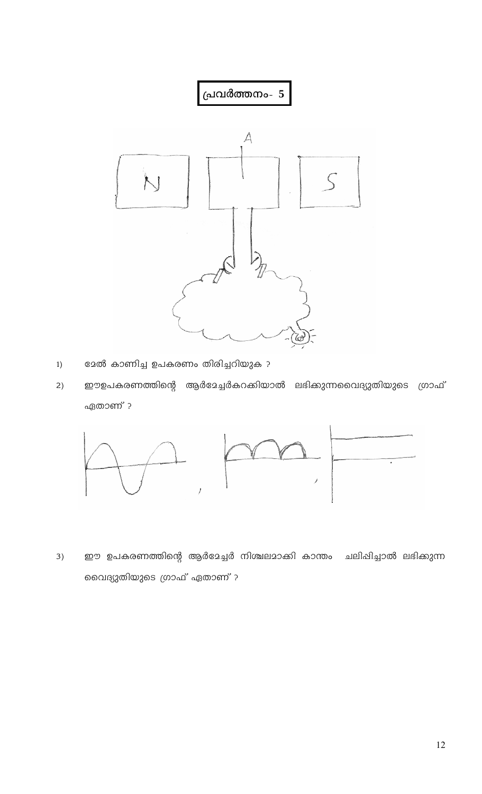

- <mark>ളേൽ കാണിച്ച ഉപകരണം തിരിച്ചറിയുക ?</mark>  $1)$
- ഈഉപകരണത്തിന്റെ ആർദേച്ചർകറക്കിയാൽ ലഭിക്കുന്നവൈദ്യുതിയുടെ ഗ്രാഫ്  $2)$ ഏതാണ് ?



ഈ ഉപകരണത്തിന്റെ ആർദേച്ചർ നിശ്ചലമാക്കി കാന്തം ചലിപ്പിച്ചാൽ ലഭിക്കുന്ന  $3)$ വൈദ്യുതിയുടെ ഗ്രാഫ് ഏതാണ് ?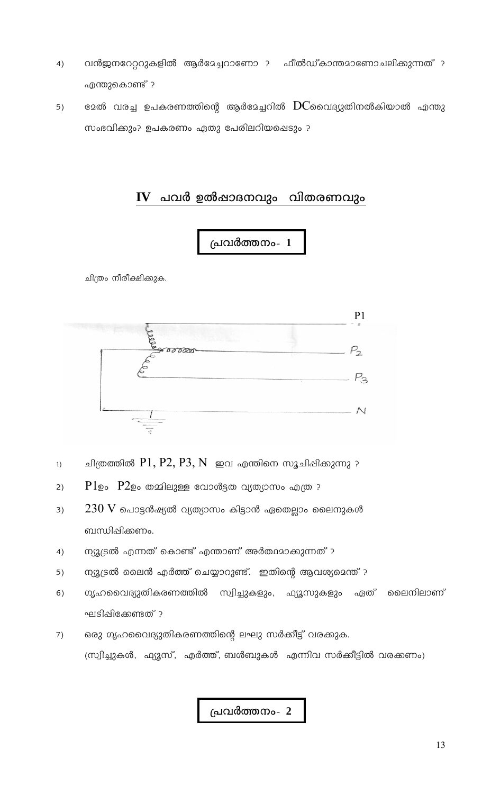- വൻജനറേറ്ററുകളിൽ ആർദേച്ചറാണോ ? ഫീൽഡ്കാന്തമാണോചലിക്കുന്നത് ?  $4)$ എന്തുകൊണ്ട് ?
- മേൽ വരച്ച ഉപകരണത്തിന്റെ ആർമേച്ചറിൽ  $\rm{DC}$ വൈദ്യുതിനൽകിയാൽ എന്തു  $5)$ സംഭവിക്കും? ഉപകരണം ഏതു പേരിലറിയപ്പെടും ?

#### $IV$  പവർ ഉൽഷാദനവും വിതരണവും



ചിത്രം നീരീക്ഷിക്കുക.



- ചിത്രത്തിൽ  $P1, P2, P3, N$  ഇവ എന്തിനെ സൂചിഷിക്കുന്നു ?  $1)$
- $P1$ ഉം  $P2$ ഉം തമ്മിലുള്ള വോൾട്ടത വ്യത്യാസം എത്ര ?  $2)$
- $230\ \mathrm{V}$  പൊട്ടൻഷ്യൽ വ്യത്യാസം കിട്ടാൻ ഏതെല്ലാം ലൈനുകൾ  $3)$ ബന്ധിപ്പിക്കണം.
- ന്യൂട്രൽ എന്നത് കൊണ്ട് എന്താണ് അർത്ഥമാക്കുന്നത് ?  $4)$
- ന്യൂട്രൽ ലൈൻ എർത്ത് ചെയ്യാറുണ്ട്. ഇതിന്റെ ആവശ്യമെന്ത് ?  $5)$
- ഗൃഹവൈദ്യുതികരണത്തിൽ സ്വിച്ചുകളും, ഫ്യൂസുകളും ഏത് മൈനിലാണ്  $6)$ ഘടിഷിക്കേണ്ടത് ?
- ഒരു ഗൃഹവൈദ്യുതികരണത്തിന്റെ ലഘു സർക്കീട്ട് വരക്കുക.  $7)$ (സ്വിച്ചുകൾ, ഫ്യൂസ്, എർത്ത്, ബൾബുകൾ എന്നിവ സർക്കീട്ടിൽ വരക്കണം)

പ്രവർത്തനം- 2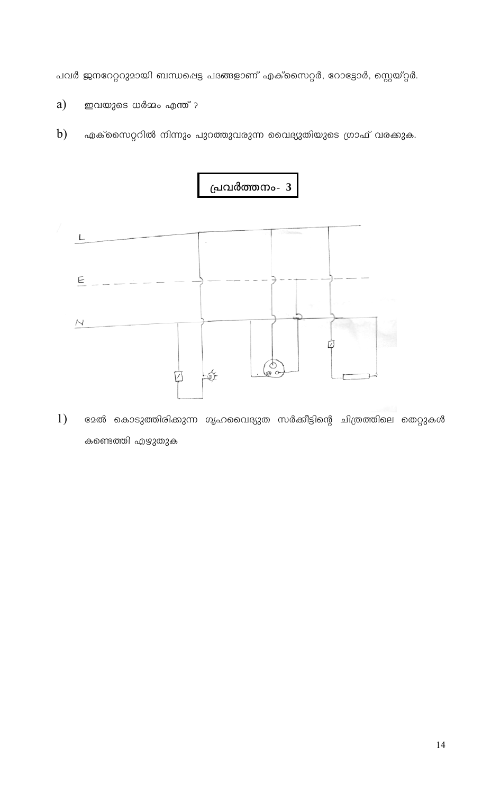പവർ ജനറേറ്ററുമായി ബന്ധപ്പെട്ട പദങ്ങളാണ് എക്സൈറ്റർ, റോട്ടോർ, സ്റ്റെയ്റ്റർ.

- a) ഇവയുടെ ധർമ്മം എന്ത് ?
- $b)$ എക്സൈറ്ററിൽ നിന്നും പുറത്തുവരുന്ന വൈദ്യുതിയുടെ ഗ്രാഫ് വരക്കുക.



 $1)$ <mark>ളോൽ കൊടുത്തിരിക്കുന്ന ഗൃഹവൈദ്യുത സർക്കീ</mark>ട്ടിന്റെ ചിത്രത്തിലെ തെറ്റുകൾ കണ്ടെത്തി എഴുതുക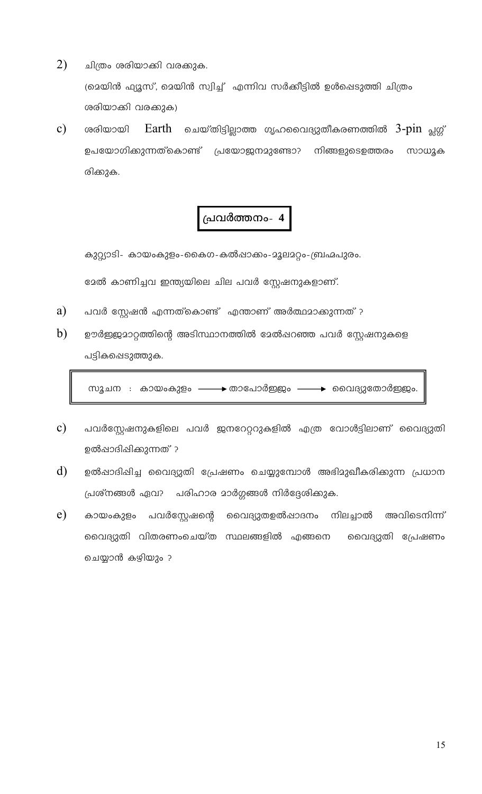- $2)$ ചിത്രം ശരിയാക്കി വരക്കുക. (മെയിൻ ഫ്യൂസ്, മെയിൻ സ്വിച്ച് എന്നിവ സർക്കീട്ടിൽ ഉൾപ്പെടുത്തി ചിത്രം ശരിയാക്കി വരക്കുക)
- $\mathbf{c})$ ശരിയായി Earth ചെയ്തിട്ടില്ലാത്ത ഗൃഹവൈദ്യുതീകരണത്തിൽ 3-pin പ്ലഗ്ഗ് ഉപയോഗിക്കുന്നത്കൊണ്ട് പ്രയോജനമുണ്ടോ? നിങ്ങളുടെഉത്തരം സാധുക രിക്കുക.

കുറ്റ്യാടി- കായംകുളം-കൈഗ-കൽഷാക്കം-മൂലമറ്റം-ബ്രഹ്മപുരം. ഭേൽ കാണിച്ചവ ഇന്ത്യയിലെ ചില പവർ സ്റ്റേഷനുകളാണ്.

- a) പവർ സ്റ്റേഷൻ എന്നത്കൊണ്ട് എന്താണ് അർത്ഥമാക്കുന്നത് ?
- b) ഊർജ്ജുമാറ്റത്തിന്റെ അടിസ്ഥാനത്തിൽ മേൽഷറഞ്ഞ പവർ സ്റ്റേഷനുകളെ പട്ടികപ്പെടുത്തുക.

സൂചന : കായംകുളം ——→ താപോർഇജം ——→ വൈദ്യുതോർഇജം.

- $\mathbf{c})$ പവർസ്റ്റേഷനുകളിലെ പവർ ജനറേറ്ററുകളിൽ എത്ര വോൾട്ടിലാണ് വൈദ്യുതി ഉൽഷാദിഷിക്കുന്നത് ?
- $\mathbf{d}$ ഉൽഷാദിഷിച്ച വൈദ്യുതി പ്രേഷണം ചെയ്യുമ്പോൾ അഭിമുഖീകരിക്കുന്ന പ്രധാന പ്രശ്നങ്ങൾ ഏവ? പരിഹാര മാർഗ്ഗങ്ങൾ നിർദ്ദേശിക്കുക.
- $e)$ അവിടെനിന്ന് കായംകുളം പവർസ്റ്റേഷന്റെ വൈദ്യുതഉൽഷാദനം നിലച്ചാൽ വൈദ്യുതി വിതരണംചെയ്ത സ്ഥലങ്ങളിൽ എങ്ങനെ വൈദ്യുതി പ്രേഷണം ചെയ്യാൻ കഴിയും ?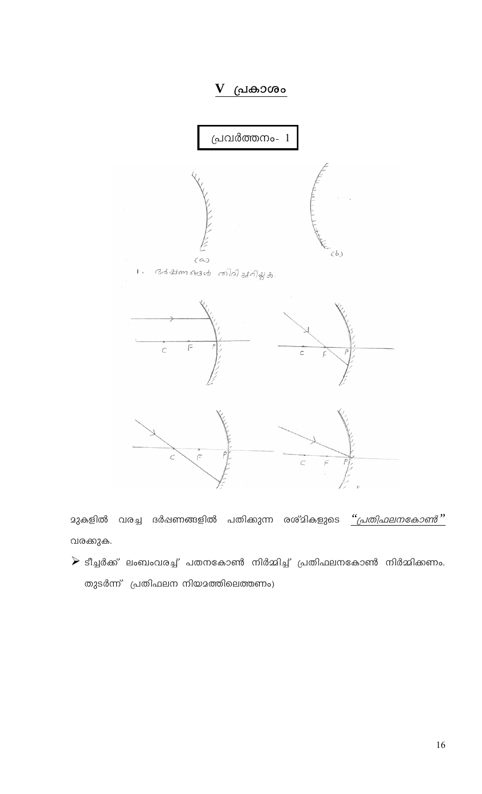

**മുകളിൽ വരച്ച ദർ**ഷണങ്ങളിൽ പതിക്കുന്ന രശ്മികളുടെ <u>''പ്രതിഫലനകോൺ''</u> വരക്കുക.

 $\triangleright$  ടീച്ചർക്ക് ലംബംവരച്ച് പതനകോൺ നിർമ്മിച്ച് പ്രതിഫലനകോൺ നിർമ്മിക്കണം. തുടർന്ന് പ്രതിഫലന നിയമത്തിലെത്തണം)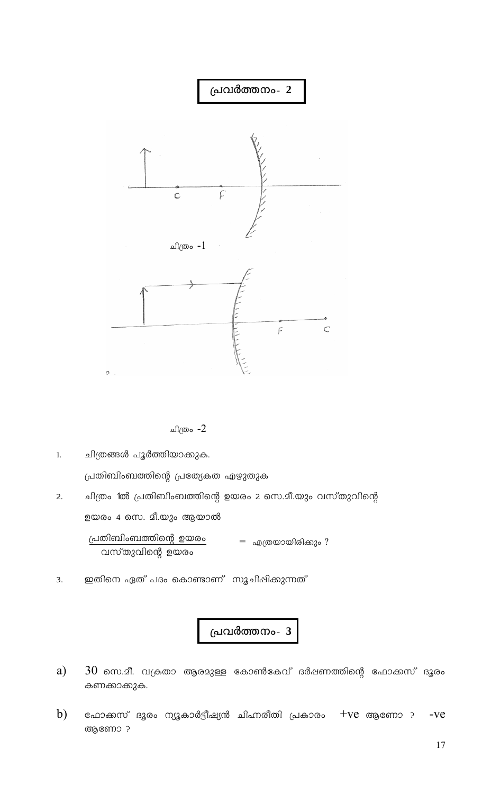

ചിത്രം -2

ചിത്രങ്ങൾ പൂർത്തിയാക്കുക.  $1.$ പ്രതിബിംബത്തിന്റെ പ്രത്യേകത എഴുതുക

- ചിത്രം 1ൽ പ്രതിബിംബത്തിന്റെ ഉയരം 2 സെ.മീ.യും വസ്തുവിന്റെ  $2.$ ഉയരം 4 സെ. മീ.യും ആയാൽ പ്രതിബിംബത്തിന്റെ ഉയരം = എത്രയായിരിക്കും ? വസ്തുവിന്റെ ഉയരം
- ഇതിനെ ഏത് പദം കൊണ്ടാണ് സൂചിഷിക്കുന്നത് 3.

പ്രവർത്തനം- 3

- a)  $30\,$  സെ.മീ. വക്രതാ ആരമുള്ള കോൺകേവ് ദർഷണത്തിന്റെ ഫോക്കസ് ദൂരം കണക്കാകുക.
- $b)$ ഫോക്കസ് ദൂരം ന്യൂകാർട്ടീഷ്യൻ ചിഹ്നരീതി പ്രകാരം +Ve ആണോ ?  $-ve$ ആണോ ?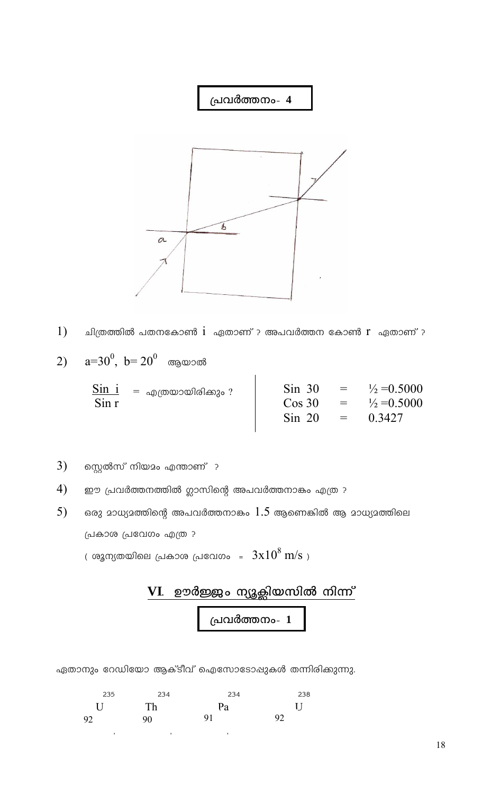

 $1)$ ചിത്രത്തിൽ പതനകോൺ $i$  എതാണ് ? അപവർത്തന കോൺ  $r$  ഏതാണ് ?

2) 
$$
a=30^0
$$
,  $b=20^0$  ആയാൽ

|          | $\frac{{\rm Sin}\;\; {\rm i}}{2} \;\;\; = \;\, {}_{\rm 40}$ ത്രയായിരിക്കും ? | $\sin 30$              |                 | $=$ $\frac{1}{2} = 0.5000$       |
|----------|------------------------------------------------------------------------------|------------------------|-----------------|----------------------------------|
| $\sin r$ |                                                                              | $\cos 30$<br>$\sin 20$ | $\equiv$<br>$=$ | $\frac{1}{2} = 0.5000$<br>0.3427 |

- $3)$ സ്റ്റെൽസ് നിയമം എന്താണ് ?
- $4)$ ഈ പ്രവർത്തനത്തിൽ ഗ്ലാസിന്റെ അപവർത്തനാകം എത്ര ?
- $5)$ ഒരു മാധ്യമത്തിന്റെ അപവർത്തനാകം  $1.5$  ആണെങ്കിൽ ആ മാധ്യമത്തിലെ പ്രകാശ പ്രവേഗം എത്ര ?

്രരൂന്യതയിലെ പ്രകാശ പ്രവേഗം =  $3x10^8$  m/s  $)\,$ 

$$
\begin{array}{c|c}\n\textbf{VI.} & \textbf{ഉർജ്ജം ന്യൂക്ലിയസിൽ നിന്ന്\n\end{array}
$$
 പ്രവർത്തനം- 1

ഏതാനും റേഡിയോ ആക്ടീവ് ഐസോടോഷുകൾ തന്നിരിക്കുന്നു.

| 235          | 234 | -234 | 238     |
|--------------|-----|------|---------|
| $\mathbf{U}$ | Th  | Pa   | $\prod$ |
| 92           | 90  | 91   | 92      |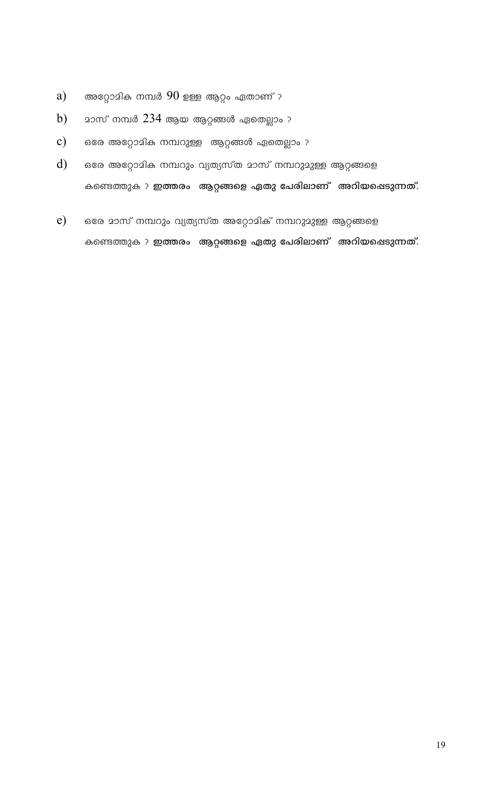- അറ്റോമിക നമ്പർ  $90$  ഉള്ള ആറ്റം ഏതാണ് ? a)
- $230$ സ് നമ്പർ  $234$  ആയ ആറ്റങ്ങൾ ഏതെല്ലാം ?  $b)$
- ഒരേ അറ്റോമിക നമ്പറുള്ള ആറ്റങ്ങൾ ഏതെല്ലാം ?  $\mathbf{c})$
- $\mathbf{d}$ ഒരേ അറ്റോമിക നമ്പറും വ്യത്യസ്ത മാസ് നമ്പറുമുള്ള ആറ്റങ്ങളെ കണ്ടെത്തുക ? ഇത്തരം ആറ്റങ്ങളെ ഏതു പേരിലാണ് അറിയപ്പെടുന്നത്.
- $e)$ ഒരേ മാസ് നമ്പറും വ്യത്യസ്ത അറ്റോമിക് നമ്പറുമുള്ള ആറ്റങ്ങളെ കണ്ടെത്തുക ? ഇത്തരം ആറ്റങ്ങളെ ഏതു പേരിലാണ് അറിയഷെടുന്നത്.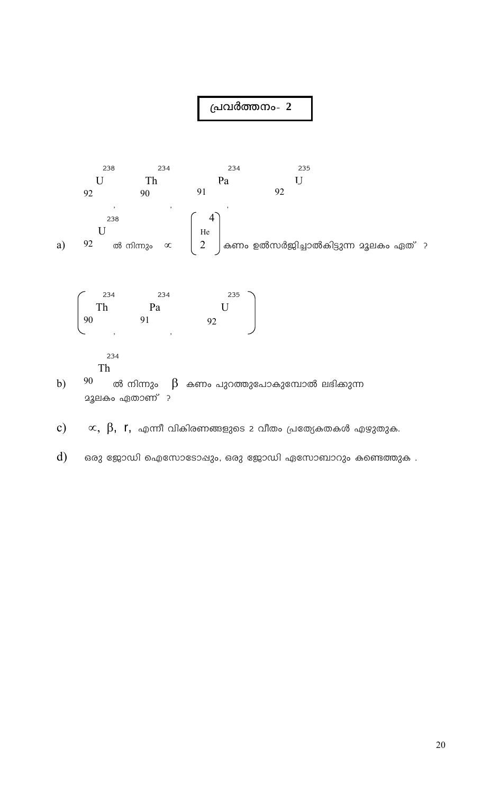

- Th
- 90 ൽ നിന്നും  $\,\mathfrak{B}\,$  കണം പുറത്തുപോകുമ്പോൽ ലഭിക്കുന്ന  $b)$ **23ലകം ഏതാണ്** ?
- $\propto,~\beta,~$  r $,~$  എന്നീ വികിരണങ്ങളുടെ 2 വീതം പ്രത്യേകതകൾ എഴുതുക.  $c)$
- $\mathbf{d}$ ഒരു ജോഡി ഐസോടോഷും, ഒരു ജോഡി ഏസോബാറും കണ്ടെത്തുക .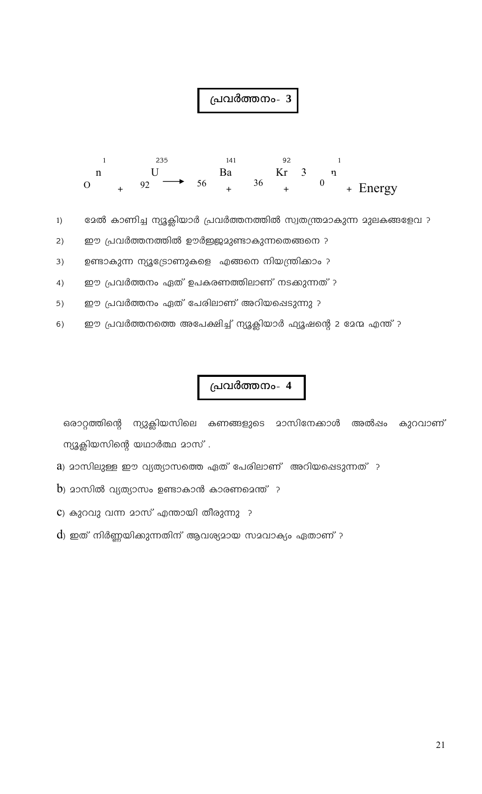

ഭേൽ കാണിച്ച ന്യൂക്ലിയാർ പ്രവർത്തനത്തിൽ സ്വതന്ത്രമാകുന്ന മുലകങ്ങളേവ ?  $1)$ 

ഈ പ്രവർത്തനത്തിൽ ഊർജ്ജമുണ്ടാകുന്നതെങ്ങനെ ?  $2)$ 

ഉണ്ടാകുന്ന ന്യൂട്രോണുകളെ എങ്ങനെ നിയന്ത്രിക്കാം ?  $3)$ 

ഈ പ്രവർത്തനം ഏത് ഉപകരണത്തിലാണ് നടക്കുന്നത് ?  $4)$ 

ഈ പ്രവർത്തനം ഏത് പേരിലാണ് അറിയപ്പെടുന്നു ?  $5)$ 

ഈ പ്രവർത്തനത്തെ അപേക്ഷിച്ച് ന്യൂക്ലിയാർ ഫ്യൂഷന്റെ 2 മേന്മ എന്ത് ?  $6)$ 

#### പ്രവർത്തനം- 4

ഒരാറ്റത്തിന്റെ ന്യുക്ലിയസിലെ കണങ്ങളുടെ മാസിനേക്കാൾ അൽഷം കുറവാണ് ന്യൂക്ലിയസിന്റെ യഥാർത്ഥ മാസ്.

a) മാസിലുള്ള ഈ വ്യത്യാസത്തെ ഏത് പേരിലാണ് അറിയപ്പെടുന്നത് ?

 $\,$ ) മാസിൽ വ്യത്യാസം ഉണ്ടാകാൻ കാരണമെന്ത്  $\,$  ?

 $\mathbf c$ ) കുറവു വന്ന മാസ് എന്തായി തീരുന്നു ?

 $\mathbf d$ ) ഇത് നിർണ്ണയിക്കുന്നതിന് ആവശ്യമായ സമവാക്യം ഏതാണ് ?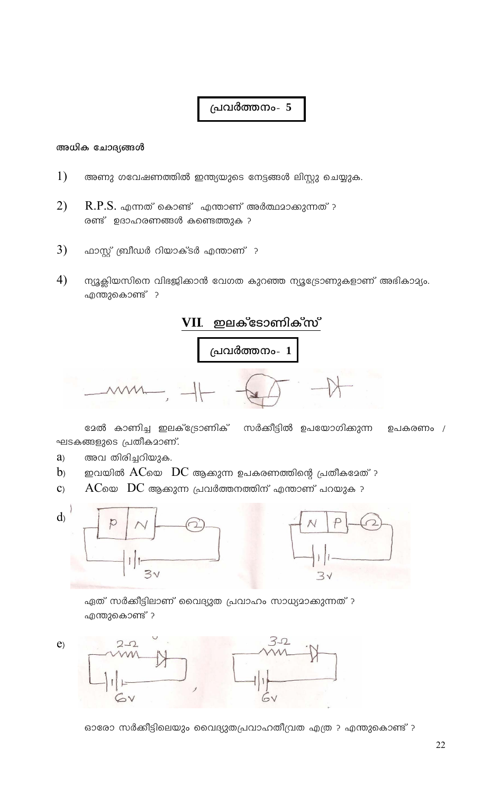#### അധിക ചോദ്യങ്ങൾ

- $1)$ അണു ഗവേഷണത്തിൽ ഇന്ത്യയുടെ നേട്ടങ്ങൾ ലിസ്റ്റു ചെയ്യുക.
- $2)$  $R.P.S.$  എന്നത് കൊണ്ട് എന്താണ് അർത്ഥമാക്കുന്നത് ? രണ്ട് ഉദാഹരണങ്ങൾ കണ്ടെത്തുക ?
- $3)$ ഫാസ്റ്റ് ബ്രീഡർ റിയാക്ടർ എന്താണ് ?
- $4)$ ന്യൂക്ലിയസിനെ വിഭജിക്കാൻ വേഗത കുറഞ്ഞ ന്യൂട്രോണുകളാണ് അഭികാമ്യം. എന്തുകൊണ്ട് ?



ദേൽ കാണിച്ച ഇലക്ട്രോണിക് സർക്കീട്ടിൽ ഉപയോഗിക്കുന്ന ഉപകരണം  $/$ ഘടകങ്ങളുടെ പ്രതീകമാണ്.

- അവ തിരിച്ചറിയുക.  $a)$
- ഇവയിൽ  $AC$ യെ  $DC$  ആക്കുന്ന ഉപകരണത്തിന്റെ പ്രതീകമേത് ?  $b<sub>2</sub>$
- $\mathbf{C}$  $\rm AC$ യെ  $\rm \ DC$  ആക്കുന്ന പ്രവർത്തനത്തിന് എന്താണ് പറയുക ?





ഏത് സർക്കീട്ടിലാണ് വൈദ്യുത പ്രവാഹം സാധ്യമാക്കുന്നത് ? എന്തുകൊണ്ട് ?



ഓരോ സർക്കീട്ടിലെയും വൈദ്യുതപ്രവാഹതീവ്രത എത്ര ? എന്തുകൊണ്ട് ?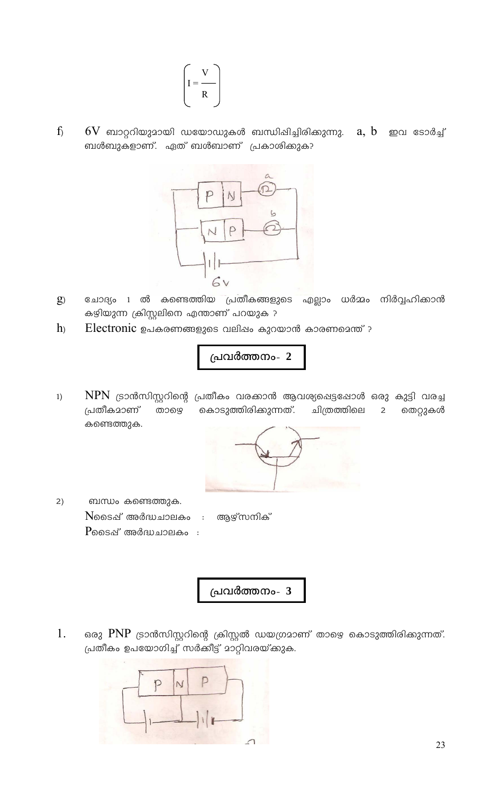$$
\left(I = \frac{V}{R}\right)
$$

 $f$  $6\mathrm{V}$  ബാറ്ററിയുമായി ഡയോഡുകൾ ബന്ധിഷിച്ചിരിക്കുന്നു.  $a, b$  *mo*  $\cos \theta$ ബൾബുകളാണ്. ഏത് ബൾബാണ് പ്രകാശിക്കുക?



- ചോദ്യം 1 ൽ കണ്ടെത്തിയ പ്രതീകങ്ങളുടെ എല്ലാം ധർമ്മം നിർവ്വഹിക്കാൻ  $g$ കഴിയുന്ന ക്രിസ്റ്റലിനെ എന്താണ് പറയുക ?
- $h$ Electronic ഉപകരണങ്ങളുടെ വലിഷം കുറയാൻ കാരണമെന്ത് ?

പ്രവർത്തനം- 2

 $NPN$  ട്രാൻസിസ്റ്ററിന്റെ പ്രതീകം വരക്കാൻ ആവശ്യപ്പെട്ടപ്പോൾ ഒരു കുട്ടി വരച്ച  $1)$ പ്രതീകമാണ് താഴെ കൊടുത്തിരിക്കുന്നത്. ചിത്രത്തിലെ തെറ്റുകൾ  $\overline{2}$ കണ്ടെത്തുക.



ബന്ധം കണ്ടെത്തുക.  $2)$ Nടൈഷ് അർദ്ധചാലകം : ആഴ്സനിക്  $P$ ടൈഷ് അർദ്ധചാലകം $\,$  :

പ്രവർത്തനം- 3

1. ഒരു PNP ട്രാൻസിസ്റ്ററിന്റെ ക്രിസ്റ്റൽ ഡയഗ്രമാണ് താഴെ കൊടുത്തിരിക്കുന്നത്. പ്രതീകം ഉപയോഗിച്ച് സർക്കീട്ട് മാറ്റിവരയ്ക്കുക.

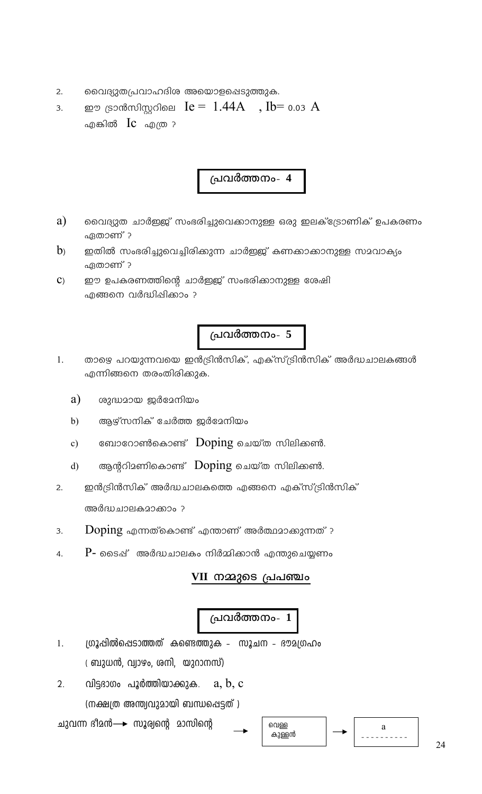- വൈദ്യുതപ്രവാഹദിശ അയൊളപ്പെടുത്തുക.  $2.$
- ഈ ട്രാൻസിസ്റ്ററിലെ  $Ie = 1.44A$ ,  $Ib = 0.03 A$  $3.$ എങ്കിൽ  $\operatorname{Ic}$  എത്ര ?

- a) വൈദ്യുത ചാർഇജ് സംഭരിച്ചുവെക്കാനുള്ള ഒരു ഇലക്ട്രോണിക് ഉപകരണം ഏതാണ് ?
- $b<sub>2</sub>$ ഇതിൽ സംഭരിച്ചുവെച്ചിരിക്കുന്ന ചാർഇജ് കണക്കാക്കാനുള്ള സമവാക്യം ഏതാണ് ?
- ഈ ഉപകരണത്തിന്റെ ചാർഇജ് സംഭരിക്കാനുള്ള ശേഷി  $\mathbf{C}$ എങ്ങനെ വർദ്ധിപ്പിക്കാം ?

### പ്രവർത്തനം- 5

- താഴെ പറയുന്നവയെ ഇൻട്രിൻസിക്, എക്സ്ട്രിൻസിക് അർദ്ധചാലകങ്ങൾ  $1<sup>1</sup>$ എന്നിങ്ങനെ തരംതിരിക്കുക.
	- a) ശുദ്ധമായ ജർമേനിയം
	- ആഴ്സനിക് ചേർത്ത ജർമേനിയം  $b)$
	- ബോറോൺകൊണ്ട് Doping ചെയ്ത സിലിക്കൺ.  $c)$
	- ആന്ററിമണികൊണ്ട്  $\bf{Doping}$  ചെയ്ത സിലിക്കൺ.  $\mathbf{d}$
- ഇൻട്രിൻസിക് അർദ്ധചാലകത്തെ എങ്ങനെ എക്സ്ട്രിൻസിക്  $2.$ അർദ്ധചാലകമാക്കാം ?
- $\overline{\mathrm{Doping}}$  എന്നത്കൊണ്ട് എന്താണ് അർത്ഥമാക്കുന്നത് ? 3.
- $P$  ടൈഷ് അർദ്ധചാലകം നിർമ്മിക്കാൻ എന്തുചെയ്യണം 4.

#### VII നമ്മുടെ പ്രപഞ്ചം

## പ്രവർത്തനം-  $\overline{1}$

- ഗ്രൂപ്പിൽപ്പെടാത്തത് കണ്ടെത്തുക സൂചന ഭൗമഗ്രഹം  $1.$ ്രബുധൻ, വ്യാഴം, ശനി, യുറാനസ്)
- $2.$ വിട്ടദാഗം പൂർത്തിയാക്കുക.  $a, b, c$ (നക്ഷത്ര അന്ത്യവുമായി ബന്ധപ്പെട്ടത്)

ചുവന്ന ദീമൻ→ സൂര്വന്റെ മാസിന്റെ

$$
\begin{array}{|c|c|c|}\n\hline\n\text{on}\\
\text{in}\\
\text{on}\\
\hline\n\end{array}
$$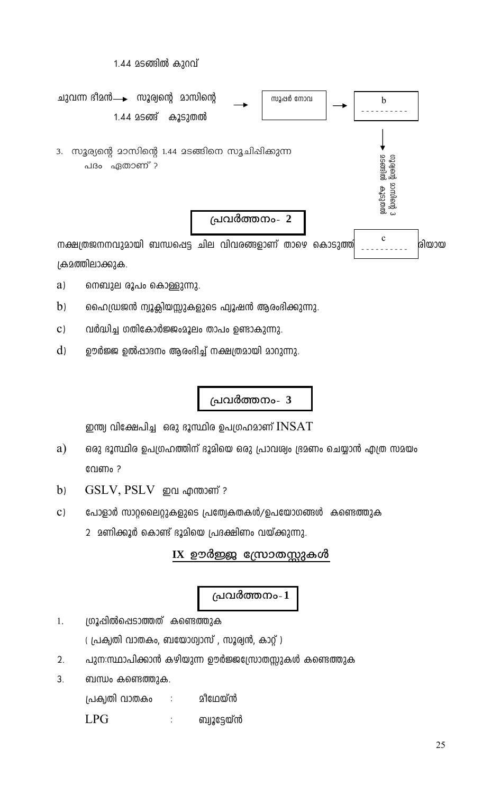1.44 മടങ്ങിൽ കുറവ്



- $a)$ നെബുല രൂപം കൊള്ളുന്നു.
- $b)$ ഹൈഡ്രജൻ ന്യൂക്ലിയസ്സുകളുടെ ഫ്യൂഷൻ ആരംഭിക്കുന്നു.
- $\mathbf{C}$ ) വർദ്ധിച്ച ഗതികോർജ്ജംമൂലം താപം ഉണ്ടാകുന്നു.
- $\rm d$ ഊർജ്ജ ഉൽഷാദനം ആരംഭിച്ച് നക്ഷത്രമായി മാറുന്നു.

## പ്രവർത്തനം- 3

ഇന്ത്യ വിക്ഷേപിച്ച $\;$  ഒരു ഭൂസ്ഥിര ഉപഗ്രഹമാണ്  $INSAT$ 

- $a)$ ഒരു ഭൂസ്ഥിര ഉപഗ്രഹത്തിന് ഭൂമിയെ ഒരു പ്രാവശ്വം ഭ്രമണം ചെയ്യാൻ എത്ര സമയം വേണം ?
- GSLV, PSLV ഇവ എന്താണ് ?  $b)$
- $\mathbf{C}$ ) പോളാർ സാറ്റലൈറ്റുകളുടെ പ്രത്വേകതകൾ/ഉപയോഗങ്ങൾ കണ്ടെത്തുക
	- 2 മണിക്കൂർ കൊണ്ട് ദൂമിയെ പ്രദക്ഷിണം വയ്ക്കുന്നു.

#### $IX$  ഊർജ്ജ സ്രോതസ്സുകൾ

#### പ്രവർത്തനം-1

- ഗ്രൂപ്പിൽപ്പെടാത്തത് കണ്ടെത്തുക  $\overline{1}$ .
	- (പ്രകൃതി വാതകം, ബയോഗ്യാസ്), സൂര്വൻ, കാറ്റ്)
- $2.$ പുന:സ്ഥാപിക്കാൻ കഴിയുന്ന ഊർജ്ജസ്രോതസ്സുകൾ കണ്ടെത്തുക
- 3. ബന്ധം കണ്ടെത്തുക.

മീഥേയ്ൻ പ്രകൃതി വാതകം  $\ddot{\cdot}$ 

**LPG**  $\vdots$ ബ്വുട്ടേയ്ൻ